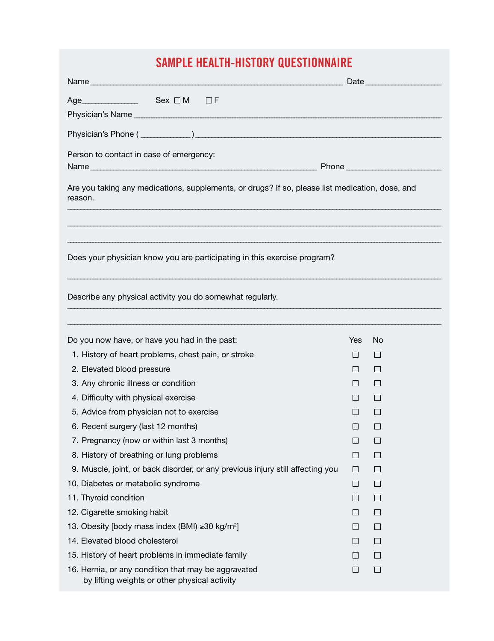## **Sample Health-History QUESTIONNAIRE**

|                                                                                                            | Date   |              |  |  |  |  |  |
|------------------------------------------------------------------------------------------------------------|--------|--------------|--|--|--|--|--|
| $Age$ Sex $\Box M$ $\Box F$                                                                                |        |              |  |  |  |  |  |
|                                                                                                            |        |              |  |  |  |  |  |
|                                                                                                            |        |              |  |  |  |  |  |
| Person to contact in case of emergency:                                                                    |        |              |  |  |  |  |  |
|                                                                                                            |        |              |  |  |  |  |  |
| Are you taking any medications, supplements, or drugs? If so, please list medication, dose, and<br>reason. |        |              |  |  |  |  |  |
| Does your physician know you are participating in this exercise program?                                   |        |              |  |  |  |  |  |
| Describe any physical activity you do somewhat regularly.                                                  |        |              |  |  |  |  |  |
| Do you now have, or have you had in the past:                                                              | Yes    | No           |  |  |  |  |  |
| 1. History of heart problems, chest pain, or stroke                                                        | $\Box$ | $\perp$      |  |  |  |  |  |
| 2. Elevated blood pressure                                                                                 | $\Box$ | $\mathbf{L}$ |  |  |  |  |  |
| 3. Any chronic illness or condition                                                                        | $\Box$ | $\Box$       |  |  |  |  |  |
| 4. Difficulty with physical exercise                                                                       | $\Box$ | $\perp$      |  |  |  |  |  |
| 5. Advice from physician not to exercise                                                                   |        | $\Box$       |  |  |  |  |  |
| 6. Recent surgery (last 12 months)                                                                         | $\Box$ |              |  |  |  |  |  |
| 7. Pregnancy (now or within last 3 months)                                                                 | $\Box$ | $\Box$       |  |  |  |  |  |
| 8. History of breathing or lung problems                                                                   | $\Box$ | $\Box$       |  |  |  |  |  |
| 9. Muscle, joint, or back disorder, or any previous injury still affecting you                             | $\Box$ | $\Box$       |  |  |  |  |  |
| 10. Diabetes or metabolic syndrome                                                                         | $\Box$ | $\Box$       |  |  |  |  |  |
| 11. Thyroid condition                                                                                      | $\Box$ | ш            |  |  |  |  |  |
| 12. Cigarette smoking habit                                                                                | П      | $\Box$       |  |  |  |  |  |
| 13. Obesity [body mass index (BMI) ≥30 kg/m <sup>2</sup> ]                                                 | $\Box$ | $\Box$       |  |  |  |  |  |
| 14. Elevated blood cholesterol                                                                             | $\Box$ | $\Box$       |  |  |  |  |  |
| 15. History of heart problems in immediate family                                                          | $\Box$ | $\Box$       |  |  |  |  |  |
| 16. Hernia, or any condition that may be aggravated<br>by lifting weights or other physical activity       | П      | $\Box$       |  |  |  |  |  |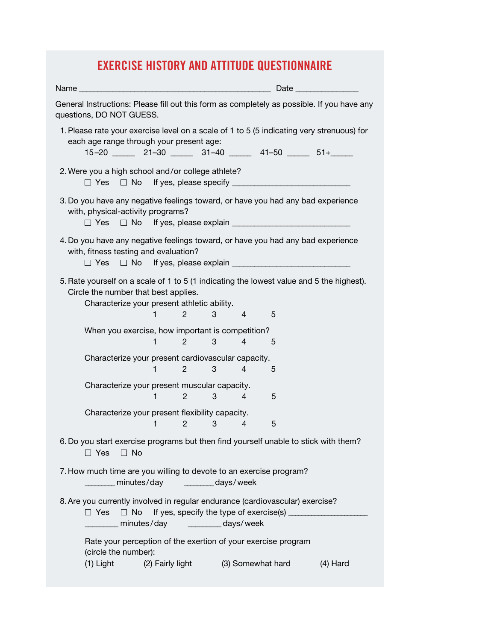## **Exercise History and Attitude Questionnaire**

| General Instructions: Please fill out this form as completely as possible. If you have any<br>questions, DO NOT GUESS.                                                                                      |                                |   |                |                   |            |  |  |  |
|-------------------------------------------------------------------------------------------------------------------------------------------------------------------------------------------------------------|--------------------------------|---|----------------|-------------------|------------|--|--|--|
| 1. Please rate your exercise level on a scale of 1 to 5 (5 indicating very strenuous) for<br>each age range through your present age:<br>$15-20$ 21-30 31-40 41-50 51+                                      |                                |   |                |                   |            |  |  |  |
| 2. Were you a high school and/or college athlete?                                                                                                                                                           |                                |   |                |                   |            |  |  |  |
| 3. Do you have any negative feelings toward, or have you had any bad experience<br>with, physical-activity programs?<br>$\Box$ Yes                                                                          |                                |   |                |                   |            |  |  |  |
| 4. Do you have any negative feelings toward, or have you had any bad experience<br>with, fitness testing and evaluation?<br>$\Box$ Yes                                                                      |                                |   |                |                   |            |  |  |  |
| 5. Rate yourself on a scale of 1 to 5 (1 indicating the lowest value and 5 the highest).<br>Circle the number that best applies.<br>Characterize your present athletic ability.<br>1<br>$\overline{2}$<br>3 |                                |   |                |                   |            |  |  |  |
|                                                                                                                                                                                                             |                                |   | 4              | 5                 |            |  |  |  |
| When you exercise, how important is competition?<br>1                                                                                                                                                       | $\overline{c}$                 | 3 | 4              | 5                 |            |  |  |  |
| Characterize your present cardiovascular capacity.                                                                                                                                                          |                                |   |                |                   |            |  |  |  |
| 1.                                                                                                                                                                                                          | $\overline{2}$                 | 3 | $\overline{4}$ | 5                 |            |  |  |  |
| Characterize your present muscular capacity.                                                                                                                                                                |                                |   |                |                   |            |  |  |  |
| 1.                                                                                                                                                                                                          | $2 \left( \frac{1}{2} \right)$ | 3 | 4              | 5                 |            |  |  |  |
| Characterize your present flexibility capacity.<br>1                                                                                                                                                        | $\overline{2}$                 | 3 | 4              | 5                 |            |  |  |  |
| 6. Do you start exercise programs but then find yourself unable to stick with them?<br>$\Box$ Yes<br>$\Box$ No                                                                                              |                                |   |                |                   |            |  |  |  |
| 7. How much time are you willing to devote to an exercise program?<br>minutes/day ________days/week                                                                                                         |                                |   |                |                   |            |  |  |  |
| 8. Are you currently involved in regular endurance (cardiovascular) exercise?<br>$\Box$ No<br>$\Box$ Yes<br>minutes/day                                                                                     | days/week                      |   |                |                   |            |  |  |  |
| Rate your perception of the exertion of your exercise program<br>(circle the number):                                                                                                                       |                                |   |                |                   |            |  |  |  |
| (1) Light                                                                                                                                                                                                   | (2) Fairly light               |   |                | (3) Somewhat hard | $(4)$ Hard |  |  |  |